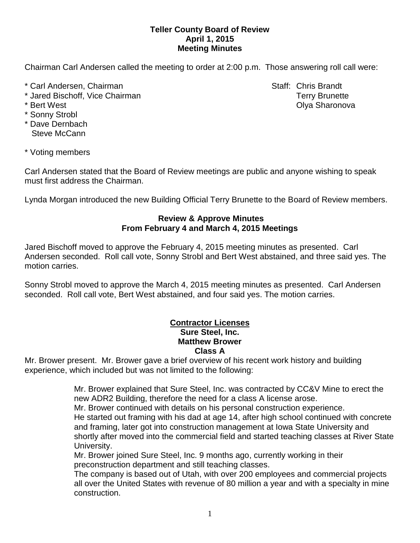## **Teller County Board of Review April 1, 2015 Meeting Minutes**

Chairman Carl Andersen called the meeting to order at 2:00 p.m. Those answering roll call were:

- \* Carl Andersen, Chairman Staff: Chris Brandt
- \* Jared Bischoff, Vice Chairman Terry Brunette
- 
- \* Sonny Strobl
- \* Dave Dernbach Steve McCann

\* Bert West Olya Sharonova

\* Voting members

Carl Andersen stated that the Board of Review meetings are public and anyone wishing to speak must first address the Chairman.

Lynda Morgan introduced the new Building Official Terry Brunette to the Board of Review members.

## **Review & Approve Minutes From February 4 and March 4, 2015 Meetings**

Jared Bischoff moved to approve the February 4, 2015 meeting minutes as presented. Carl Andersen seconded.Roll call vote, Sonny Strobl and Bert West abstained, and three said yes. The motion carries.

Sonny Strobl moved to approve the March 4, 2015 meeting minutes as presented. Carl Andersen seconded.Roll call vote, Bert West abstained, and four said yes. The motion carries.

## **Contractor Licenses Sure Steel, Inc. Matthew Brower Class A**

Mr. Brower present. Mr. Brower gave a brief overview of his recent work history and building experience, which included but was not limited to the following:

> Mr. Brower explained that Sure Steel, Inc. was contracted by CC&V Mine to erect the new ADR2 Building, therefore the need for a class A license arose.

Mr. Brower continued with details on his personal construction experience.

He started out framing with his dad at age 14, after high school continued with concrete and framing, later got into construction management at Iowa State University and shortly after moved into the commercial field and started teaching classes at River State University.

Mr. Brower joined Sure Steel, Inc. 9 months ago, currently working in their preconstruction department and still teaching classes.

The company is based out of Utah, with over 200 employees and commercial projects all over the United States with revenue of 80 million a year and with a specialty in mine construction.